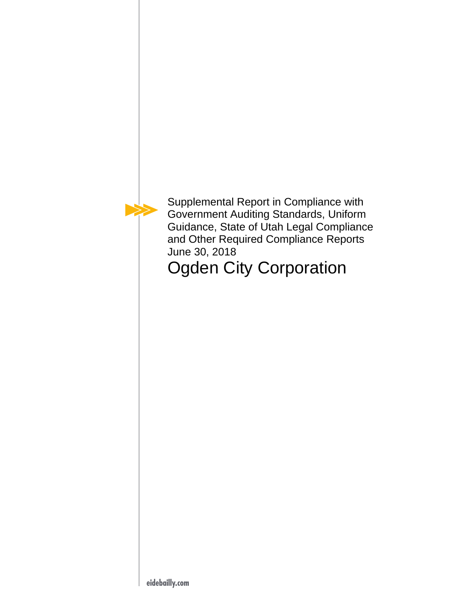Supplemental Report in Compliance with Government Auditing Standards, Uniform Guidance, State of Utah Legal Compliance and Other Required Compliance Reports June 30, 2018

Ogden City Corporation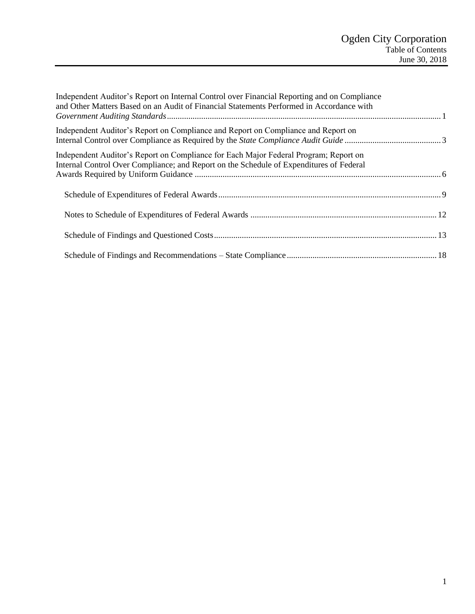| Independent Auditor's Report on Internal Control over Financial Reporting and on Compliance<br>and Other Matters Based on an Audit of Financial Statements Performed in Accordance with |  |
|-----------------------------------------------------------------------------------------------------------------------------------------------------------------------------------------|--|
|                                                                                                                                                                                         |  |
| Independent Auditor's Report on Compliance and Report on Compliance and Report on                                                                                                       |  |
| Independent Auditor's Report on Compliance for Each Major Federal Program; Report on<br>Internal Control Over Compliance; and Report on the Schedule of Expenditures of Federal         |  |
|                                                                                                                                                                                         |  |
|                                                                                                                                                                                         |  |
|                                                                                                                                                                                         |  |
|                                                                                                                                                                                         |  |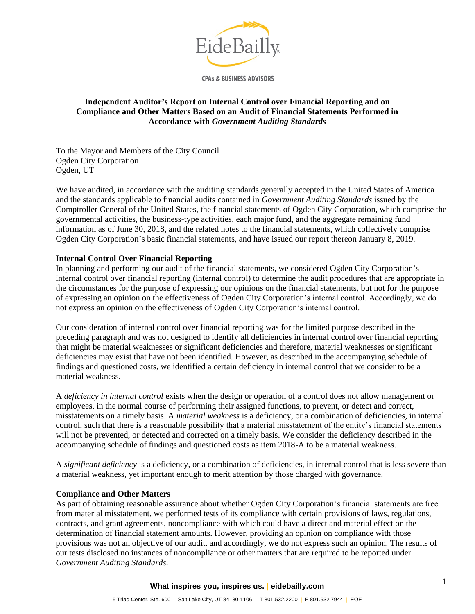

**CPAs & BUSINESS ADVISORS** 

# <span id="page-2-0"></span>**Independent Auditor's Report on Internal Control over Financial Reporting and on Compliance and Other Matters Based on an Audit of Financial Statements Performed in Accordance with** *Government Auditing Standards*

To the Mayor and Members of the City Council Ogden City Corporation Ogden, UT

We have audited, in accordance with the auditing standards generally accepted in the United States of America and the standards applicable to financial audits contained in *Government Auditing Standards* issued by the Comptroller General of the United States, the financial statements of Ogden City Corporation, which comprise the governmental activities, the business-type activities, each major fund, and the aggregate remaining fund information as of June 30, 2018, and the related notes to the financial statements, which collectively comprise Ogden City Corporation's basic financial statements, and have issued our report thereon January 8, 2019.

# **Internal Control Over Financial Reporting**

In planning and performing our audit of the financial statements, we considered Ogden City Corporation's internal control over financial reporting (internal control) to determine the audit procedures that are appropriate in the circumstances for the purpose of expressing our opinions on the financial statements, but not for the purpose of expressing an opinion on the effectiveness of Ogden City Corporation's internal control. Accordingly, we do not express an opinion on the effectiveness of Ogden City Corporation's internal control.

Our consideration of internal control over financial reporting was for the limited purpose described in the preceding paragraph and was not designed to identify all deficiencies in internal control over financial reporting that might be material weaknesses or significant deficiencies and therefore, material weaknesses or significant deficiencies may exist that have not been identified. However, as described in the accompanying schedule of findings and questioned costs, we identified a certain deficiency in internal control that we consider to be a material weakness.

A *deficiency in internal control* exists when the design or operation of a control does not allow management or employees, in the normal course of performing their assigned functions, to prevent, or detect and correct, misstatements on a timely basis. A *material weakness* is a deficiency, or a combination of deficiencies, in internal control, such that there is a reasonable possibility that a material misstatement of the entity's financial statements will not be prevented, or detected and corrected on a timely basis. We consider the deficiency described in the accompanying schedule of findings and questioned costs as item 2018-A to be a material weakness.

A *significant deficiency* is a deficiency, or a combination of deficiencies, in internal control that is less severe than a material weakness, yet important enough to merit attention by those charged with governance.

### **Compliance and Other Matters**

As part of obtaining reasonable assurance about whether Ogden City Corporation's financial statements are free from material misstatement, we performed tests of its compliance with certain provisions of laws, regulations, contracts, and grant agreements, noncompliance with which could have a direct and material effect on the determination of financial statement amounts. However, providing an opinion on compliance with those provisions was not an objective of our audit, and accordingly, we do not express such an opinion. The results of our tests disclosed no instances of noncompliance or other matters that are required to be reported under *Government Auditing Standards.*

### **What inspires you, inspires us. | eidebailly.com**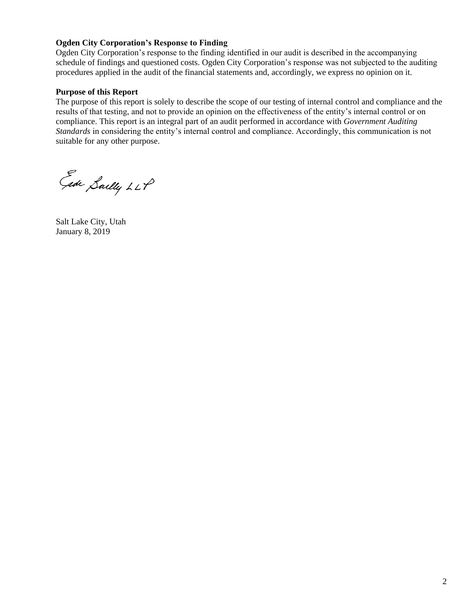## **Ogden City Corporation's Response to Finding**

Ogden City Corporation's response to the finding identified in our audit is described in the accompanying schedule of findings and questioned costs. Ogden City Corporation's response was not subjected to the auditing procedures applied in the audit of the financial statements and, accordingly, we express no opinion on it.

### **Purpose of this Report**

The purpose of this report is solely to describe the scope of our testing of internal control and compliance and the results of that testing, and not to provide an opinion on the effectiveness of the entity's internal control or on compliance. This report is an integral part of an audit performed in accordance with *Government Auditing Standards* in considering the entity's internal control and compliance. Accordingly, this communication is not suitable for any other purpose.

Ede Sailly LLP

Salt Lake City, Utah January 8, 2019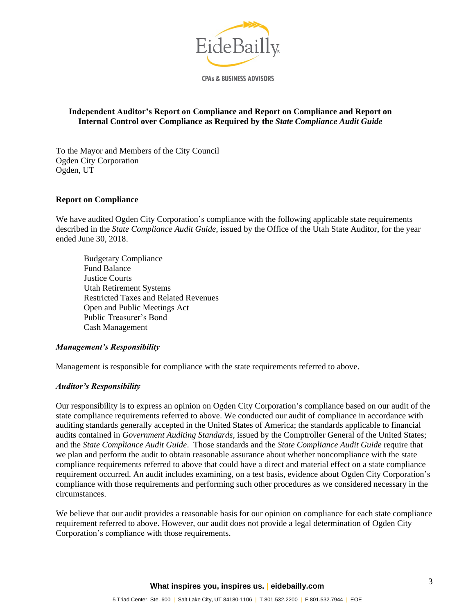

### <span id="page-4-0"></span>**Independent Auditor's Report on Compliance and Report on Compliance and Report on Internal Control over Compliance as Required by the** *State Compliance Audit Guide*

To the Mayor and Members of the City Council Ogden City Corporation Ogden, UT

### **Report on Compliance**

We have audited Ogden City Corporation's compliance with the following applicable state requirements described in the *State Compliance Audit Guide*, issued by the Office of the Utah State Auditor, for the year ended June 30, 2018.

Budgetary Compliance Fund Balance Justice Courts Utah Retirement Systems Restricted Taxes and Related Revenues Open and Public Meetings Act Public Treasurer's Bond Cash Management

### *Management's Responsibility*

Management is responsible for compliance with the state requirements referred to above.

### *Auditor's Responsibility*

Our responsibility is to express an opinion on Ogden City Corporation's compliance based on our audit of the state compliance requirements referred to above. We conducted our audit of compliance in accordance with auditing standards generally accepted in the United States of America; the standards applicable to financial audits contained in *Government Auditing Standards*, issued by the Comptroller General of the United States; and the *State Compliance Audit Guide*. Those standards and the *State Compliance Audit Guide* require that we plan and perform the audit to obtain reasonable assurance about whether noncompliance with the state compliance requirements referred to above that could have a direct and material effect on a state compliance requirement occurred. An audit includes examining, on a test basis, evidence about Ogden City Corporation's compliance with those requirements and performing such other procedures as we considered necessary in the circumstances.

We believe that our audit provides a reasonable basis for our opinion on compliance for each state compliance requirement referred to above. However, our audit does not provide a legal determination of Ogden City Corporation's compliance with those requirements.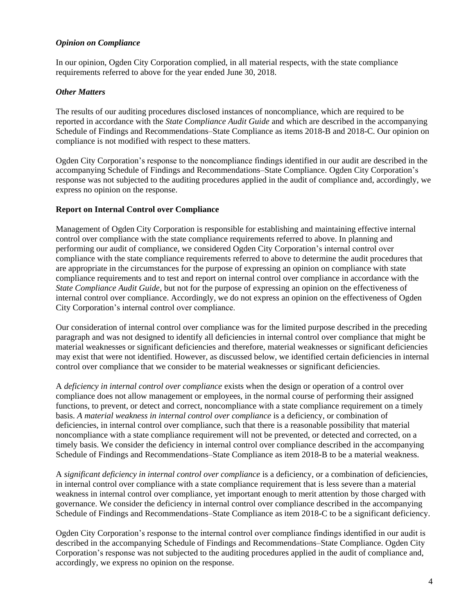## *Opinion on Compliance*

In our opinion, Ogden City Corporation complied, in all material respects, with the state compliance requirements referred to above for the year ended June 30, 2018.

## *Other Matters*

The results of our auditing procedures disclosed instances of noncompliance, which are required to be reported in accordance with the *State Compliance Audit Guide* and which are described in the accompanying Schedule of Findings and Recommendations–State Compliance as items 2018-B and 2018-C. Our opinion on compliance is not modified with respect to these matters.

Ogden City Corporation's response to the noncompliance findings identified in our audit are described in the accompanying Schedule of Findings and Recommendations–State Compliance. Ogden City Corporation's response was not subjected to the auditing procedures applied in the audit of compliance and, accordingly, we express no opinion on the response.

### **Report on Internal Control over Compliance**

Management of Ogden City Corporation is responsible for establishing and maintaining effective internal control over compliance with the state compliance requirements referred to above. In planning and performing our audit of compliance, we considered Ogden City Corporation's internal control over compliance with the state compliance requirements referred to above to determine the audit procedures that are appropriate in the circumstances for the purpose of expressing an opinion on compliance with state compliance requirements and to test and report on internal control over compliance in accordance with the *State Compliance Audit Guide*, but not for the purpose of expressing an opinion on the effectiveness of internal control over compliance. Accordingly, we do not express an opinion on the effectiveness of Ogden City Corporation's internal control over compliance.

Our consideration of internal control over compliance was for the limited purpose described in the preceding paragraph and was not designed to identify all deficiencies in internal control over compliance that might be material weaknesses or significant deficiencies and therefore, material weaknesses or significant deficiencies may exist that were not identified. However, as discussed below, we identified certain deficiencies in internal control over compliance that we consider to be material weaknesses or significant deficiencies.

A *deficiency in internal control over compliance* exists when the design or operation of a control over compliance does not allow management or employees, in the normal course of performing their assigned functions, to prevent, or detect and correct, noncompliance with a state compliance requirement on a timely basis. *A material weakness in internal control over compliance* is a deficiency, or combination of deficiencies, in internal control over compliance, such that there is a reasonable possibility that material noncompliance with a state compliance requirement will not be prevented, or detected and corrected, on a timely basis. We consider the deficiency in internal control over compliance described in the accompanying Schedule of Findings and Recommendations–State Compliance as item 2018-B to be a material weakness.

A *significant deficiency in internal control over compliance* is a deficiency, or a combination of deficiencies, in internal control over compliance with a state compliance requirement that is less severe than a material weakness in internal control over compliance, yet important enough to merit attention by those charged with governance. We consider the deficiency in internal control over compliance described in the accompanying Schedule of Findings and Recommendations–State Compliance as item 2018-C to be a significant deficiency.

Ogden City Corporation's response to the internal control over compliance findings identified in our audit is described in the accompanying Schedule of Findings and Recommendations–State Compliance. Ogden City Corporation's response was not subjected to the auditing procedures applied in the audit of compliance and, accordingly, we express no opinion on the response.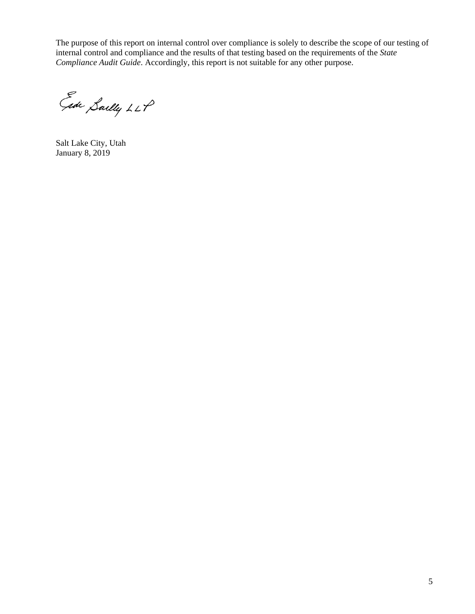The purpose of this report on internal control over compliance is solely to describe the scope of our testing of internal control and compliance and the results of that testing based on the requirements of the *State Compliance Audit Guide*. Accordingly, this report is not suitable for any other purpose.

Gide Sailly LLP

Salt Lake City, Utah January 8, 2019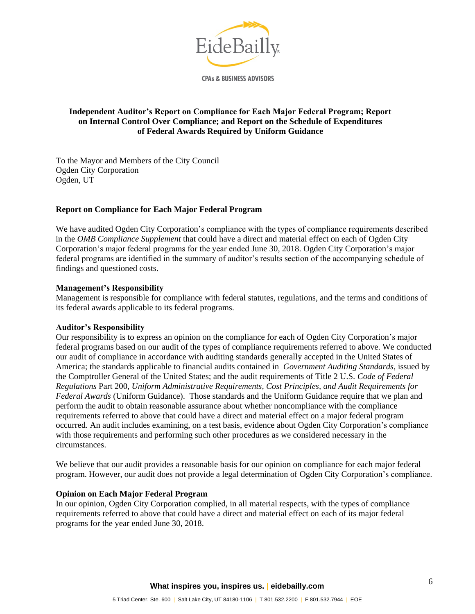

## <span id="page-7-0"></span>**Independent Auditor's Report on Compliance for Each Major Federal Program; Report on Internal Control Over Compliance; and Report on the Schedule of Expenditures of Federal Awards Required by Uniform Guidance**

To the Mayor and Members of the City Council Ogden City Corporation Ogden, UT

# **Report on Compliance for Each Major Federal Program**

We have audited Ogden City Corporation's compliance with the types of compliance requirements described in the *OMB Compliance Supplement* that could have a direct and material effect on each of Ogden City Corporation's major federal programs for the year ended June 30, 2018. Ogden City Corporation's major federal programs are identified in the summary of auditor's results section of the accompanying schedule of findings and questioned costs.

### **Management's Responsibility**

Management is responsible for compliance with federal statutes, regulations, and the terms and conditions of its federal awards applicable to its federal programs.

### **Auditor's Responsibility**

Our responsibility is to express an opinion on the compliance for each of Ogden City Corporation's major federal programs based on our audit of the types of compliance requirements referred to above. We conducted our audit of compliance in accordance with auditing standards generally accepted in the United States of America; the standards applicable to financial audits contained in *Government Auditing Standards*, issued by the Comptroller General of the United States; and the audit requirements of Title 2 U.S. *Code of Federal Regulations* Part 200, *Uniform Administrative Requirements, Cost Principles, and Audit Requirements for Federal Awards* (Uniform Guidance). Those standards and the Uniform Guidance require that we plan and perform the audit to obtain reasonable assurance about whether noncompliance with the compliance requirements referred to above that could have a direct and material effect on a major federal program occurred. An audit includes examining, on a test basis, evidence about Ogden City Corporation's compliance with those requirements and performing such other procedures as we considered necessary in the circumstances.

We believe that our audit provides a reasonable basis for our opinion on compliance for each major federal program. However, our audit does not provide a legal determination of Ogden City Corporation's compliance.

### **Opinion on Each Major Federal Program**

In our opinion, Ogden City Corporation complied, in all material respects, with the types of compliance requirements referred to above that could have a direct and material effect on each of its major federal programs for the year ended June 30, 2018.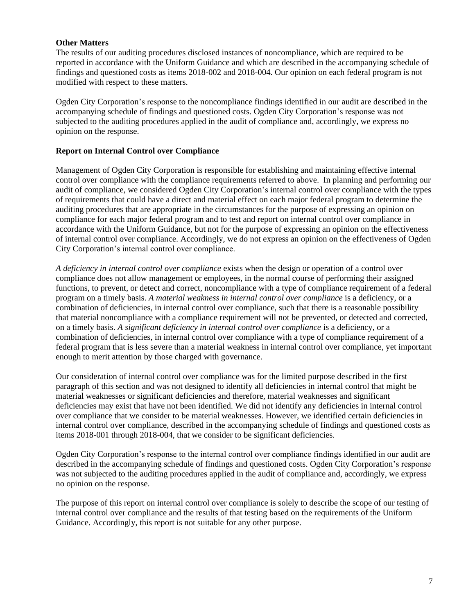# **Other Matters**

The results of our auditing procedures disclosed instances of noncompliance, which are required to be reported in accordance with the Uniform Guidance and which are described in the accompanying schedule of findings and questioned costs as items 2018-002 and 2018-004*.* Our opinion on each federal program is not modified with respect to these matters.

Ogden City Corporation's response to the noncompliance findings identified in our audit are described in the accompanying schedule of findings and questioned costs*.* Ogden City Corporation's response was not subjected to the auditing procedures applied in the audit of compliance and, accordingly, we express no opinion on the response.

## **Report on Internal Control over Compliance**

Management of Ogden City Corporation is responsible for establishing and maintaining effective internal control over compliance with the compliance requirements referred to above. In planning and performing our audit of compliance, we considered Ogden City Corporation's internal control over compliance with the types of requirements that could have a direct and material effect on each major federal program to determine the auditing procedures that are appropriate in the circumstances for the purpose of expressing an opinion on compliance for each major federal program and to test and report on internal control over compliance in accordance with the Uniform Guidance, but not for the purpose of expressing an opinion on the effectiveness of internal control over compliance. Accordingly, we do not express an opinion on the effectiveness of Ogden City Corporation's internal control over compliance.

*A deficiency in internal control over compliance* exists when the design or operation of a control over compliance does not allow management or employees, in the normal course of performing their assigned functions, to prevent, or detect and correct, noncompliance with a type of compliance requirement of a federal program on a timely basis. *A material weakness in internal control over compliance* is a deficiency, or a combination of deficiencies, in internal control over compliance, such that there is a reasonable possibility that material noncompliance with a compliance requirement will not be prevented, or detected and corrected, on a timely basis. *A significant deficiency in internal control over compliance* is a deficiency, or a combination of deficiencies, in internal control over compliance with a type of compliance requirement of a federal program that is less severe than a material weakness in internal control over compliance, yet important enough to merit attention by those charged with governance.

Our consideration of internal control over compliance was for the limited purpose described in the first paragraph of this section and was not designed to identify all deficiencies in internal control that might be material weaknesses or significant deficiencies and therefore, material weaknesses and significant deficiencies may exist that have not been identified. We did not identify any deficiencies in internal control over compliance that we consider to be material weaknesses. However, we identified certain deficiencies in internal control over compliance, described in the accompanying schedule of findings and questioned costs as items 2018-001 through 2018-004, that we consider to be significant deficiencies.

Ogden City Corporation's response to the internal control over compliance findings identified in our audit are described in the accompanying schedule of findings and questioned costs. Ogden City Corporation's response was not subjected to the auditing procedures applied in the audit of compliance and, accordingly, we express no opinion on the response.

The purpose of this report on internal control over compliance is solely to describe the scope of our testing of internal control over compliance and the results of that testing based on the requirements of the Uniform Guidance. Accordingly, this report is not suitable for any other purpose.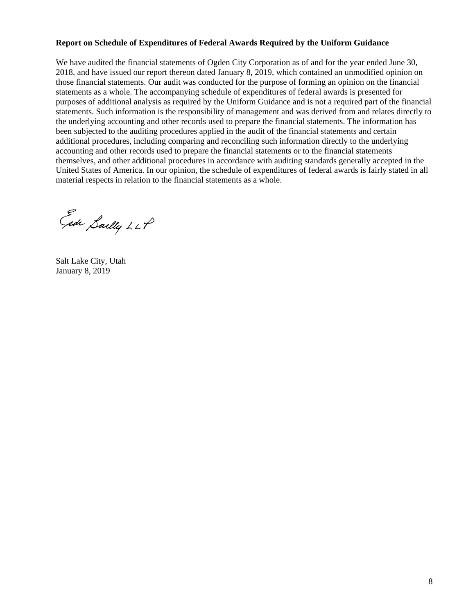### **Report on Schedule of Expenditures of Federal Awards Required by the Uniform Guidance**

We have audited the financial statements of Ogden City Corporation as of and for the year ended June 30, 2018, and have issued our report thereon dated January 8, 2019, which contained an unmodified opinion on those financial statements. Our audit was conducted for the purpose of forming an opinion on the financial statements as a whole. The accompanying schedule of expenditures of federal awards is presented for purposes of additional analysis as required by the Uniform Guidance and is not a required part of the financial statements. Such information is the responsibility of management and was derived from and relates directly to the underlying accounting and other records used to prepare the financial statements. The information has been subjected to the auditing procedures applied in the audit of the financial statements and certain additional procedures, including comparing and reconciling such information directly to the underlying accounting and other records used to prepare the financial statements or to the financial statements themselves, and other additional procedures in accordance with auditing standards generally accepted in the United States of America. In our opinion, the schedule of expenditures of federal awards is fairly stated in all material respects in relation to the financial statements as a whole.

Ede Sailly LLP

Salt Lake City, Utah January 8, 2019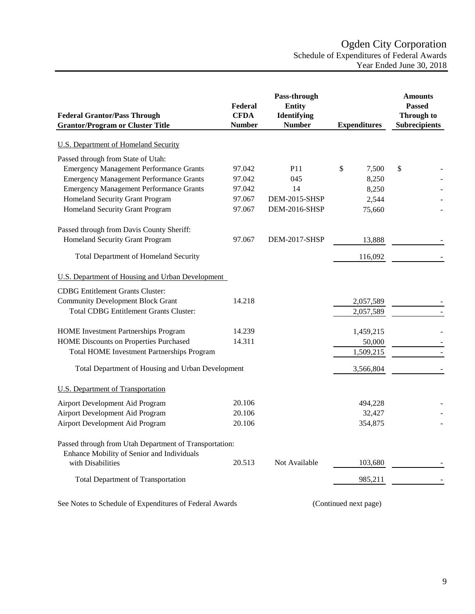<span id="page-10-0"></span>

| <b>Federal Grantor/Pass Through</b><br><b>Grantor/Program or Cluster Title</b>                       | Federal<br><b>CFDA</b><br><b>Number</b> | Pass-through<br><b>Entity</b><br>Identifying<br><b>Number</b> | <b>Expenditures</b>   | <b>Amounts</b><br><b>Passed</b><br><b>Through to</b><br><b>Subrecipients</b> |
|------------------------------------------------------------------------------------------------------|-----------------------------------------|---------------------------------------------------------------|-----------------------|------------------------------------------------------------------------------|
|                                                                                                      |                                         |                                                               |                       |                                                                              |
| <b>U.S. Department of Homeland Security</b>                                                          |                                         |                                                               |                       |                                                                              |
| Passed through from State of Utah:                                                                   |                                         |                                                               |                       |                                                                              |
| <b>Emergency Management Performance Grants</b>                                                       | 97.042                                  | P11                                                           | \$                    | \$<br>7,500                                                                  |
| <b>Emergency Management Performance Grants</b>                                                       | 97.042                                  | 045                                                           |                       | 8,250                                                                        |
| <b>Emergency Management Performance Grants</b>                                                       | 97.042                                  | 14                                                            |                       | 8,250                                                                        |
| Homeland Security Grant Program                                                                      | 97.067                                  | DEM-2015-SHSP                                                 |                       | 2,544                                                                        |
| Homeland Security Grant Program                                                                      | 97.067                                  | DEM-2016-SHSP                                                 |                       | 75,660                                                                       |
| Passed through from Davis County Sheriff:                                                            |                                         |                                                               |                       |                                                                              |
| Homeland Security Grant Program                                                                      | 97.067                                  | DEM-2017-SHSP                                                 |                       | 13,888                                                                       |
| <b>Total Department of Homeland Security</b>                                                         |                                         |                                                               | 116,092               |                                                                              |
| <b>U.S. Department of Housing and Urban Development</b>                                              |                                         |                                                               |                       |                                                                              |
| <b>CDBG</b> Entitlement Grants Cluster:                                                              |                                         |                                                               |                       |                                                                              |
| <b>Community Development Block Grant</b>                                                             | 14.218                                  |                                                               | 2,057,589             |                                                                              |
| <b>Total CDBG Entitlement Grants Cluster:</b>                                                        |                                         |                                                               | 2,057,589             |                                                                              |
|                                                                                                      |                                         |                                                               |                       |                                                                              |
| HOME Investment Partnerships Program                                                                 | 14.239                                  |                                                               | 1,459,215             |                                                                              |
| HOME Discounts on Properties Purchased                                                               | 14.311                                  |                                                               |                       | 50,000                                                                       |
| <b>Total HOME Investment Partnerships Program</b>                                                    |                                         |                                                               | 1,509,215             |                                                                              |
| Total Department of Housing and Urban Development                                                    |                                         |                                                               | 3,566,804             |                                                                              |
| <b>U.S. Department of Transportation</b>                                                             |                                         |                                                               |                       |                                                                              |
| Airport Development Aid Program                                                                      | 20.106                                  |                                                               | 494,228               |                                                                              |
| Airport Development Aid Program                                                                      | 20.106                                  |                                                               |                       | 32,427                                                                       |
| Airport Development Aid Program                                                                      | 20.106                                  |                                                               | 354,875               |                                                                              |
| Passed through from Utah Department of Transportation:<br>Enhance Mobility of Senior and Individuals |                                         |                                                               |                       |                                                                              |
| with Disabilities                                                                                    | 20.513                                  | Not Available                                                 | 103,680               |                                                                              |
| <b>Total Department of Transportation</b>                                                            |                                         |                                                               | 985,211               |                                                                              |
| See Notes to Schedule of Expenditures of Federal Awards                                              |                                         |                                                               | (Continued next page) |                                                                              |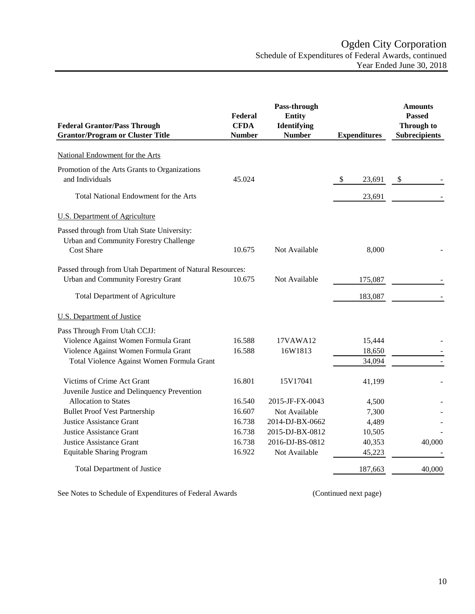# Ogden City Corporation Schedule of Expenditures of Federal Awards, continued Year Ended June 30, 2018

| <b>Federal Grantor/Pass Through</b><br><b>Grantor/Program or Cluster Title</b>                                   | Federal<br><b>CFDA</b><br><b>Number</b> | Pass-through<br><b>Entity</b><br>Identifying<br><b>Number</b> |   | <b>Expenditures</b> | <b>Amounts</b><br><b>Passed</b><br><b>Through to</b><br><b>Subrecipients</b> |
|------------------------------------------------------------------------------------------------------------------|-----------------------------------------|---------------------------------------------------------------|---|---------------------|------------------------------------------------------------------------------|
| National Endowment for the Arts                                                                                  |                                         |                                                               |   |                     |                                                                              |
| Promotion of the Arts Grants to Organizations<br>and Individuals                                                 | 45.024                                  |                                                               | S | 23,691              | S.                                                                           |
| Total National Endowment for the Arts                                                                            |                                         |                                                               |   | 23,691              |                                                                              |
| <b>U.S. Department of Agriculture</b>                                                                            |                                         |                                                               |   |                     |                                                                              |
| Passed through from Utah State University:<br><b>Urban and Community Forestry Challenge</b><br><b>Cost Share</b> | 10.675                                  | Not Available                                                 |   | 8,000               |                                                                              |
| Passed through from Utah Department of Natural Resources:<br>Urban and Community Forestry Grant                  | 10.675                                  | Not Available                                                 |   | 175,087             |                                                                              |
| <b>Total Department of Agriculture</b>                                                                           |                                         |                                                               |   | 183,087             |                                                                              |
| <b>U.S. Department of Justice</b>                                                                                |                                         |                                                               |   |                     |                                                                              |
| Pass Through From Utah CCJJ:                                                                                     |                                         |                                                               |   |                     |                                                                              |
| Violence Against Women Formula Grant                                                                             | 16.588                                  | 17VAWA12                                                      |   | 15,444              |                                                                              |
| Violence Against Women Formula Grant                                                                             | 16.588                                  | 16W1813                                                       |   | 18,650              |                                                                              |
| Total Violence Against Women Formula Grant                                                                       |                                         |                                                               |   | 34,094              |                                                                              |
| Victims of Crime Act Grant<br>Juvenile Justice and Delinquency Prevention                                        | 16.801                                  | 15V17041                                                      |   | 41,199              |                                                                              |
| <b>Allocation to States</b>                                                                                      | 16.540                                  | 2015-JF-FX-0043                                               |   | 4,500               |                                                                              |
| <b>Bullet Proof Vest Partnership</b>                                                                             | 16.607                                  | Not Available                                                 |   | 7,300               |                                                                              |
| <b>Justice Assistance Grant</b>                                                                                  | 16.738                                  | 2014-DJ-BX-0662                                               |   | 4,489               |                                                                              |
| Justice Assistance Grant                                                                                         | 16.738                                  | 2015-DJ-BX-0812                                               |   | 10,505              |                                                                              |
| Justice Assistance Grant                                                                                         | 16.738                                  | 2016-DJ-BS-0812                                               |   | 40,353              | 40,000                                                                       |
| <b>Equitable Sharing Program</b>                                                                                 | 16.922                                  | Not Available                                                 |   | 45,223              |                                                                              |
| <b>Total Department of Justice</b>                                                                               |                                         |                                                               |   | 187,663             | 40,000                                                                       |

See Notes to Schedule of Expenditures of Federal Awards (Continued next page)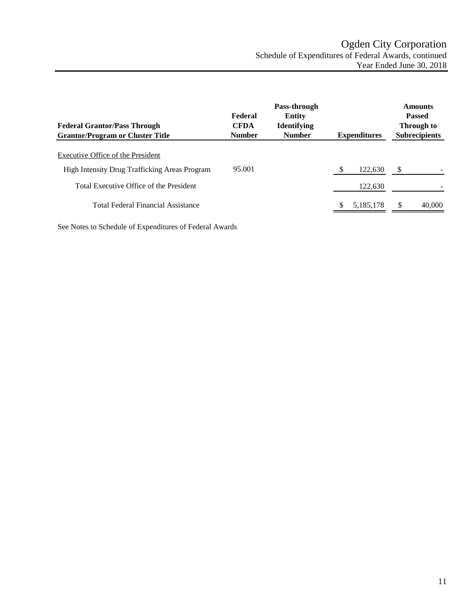# Ogden City Corporation Schedule of Expenditures of Federal Awards, continued Year Ended June 30, 2018

| <b>Federal Grantor/Pass Through</b><br><b>Grantor/Program or Cluster Title</b> | Federal<br><b>CFDA</b><br><b>Number</b> | Pass-through<br>Entity<br><b>Identifying</b><br><b>Number</b> | <b>Expenditures</b> |    | <b>Amounts</b><br><b>Passed</b><br>Through to<br><b>Subrecipients</b> |
|--------------------------------------------------------------------------------|-----------------------------------------|---------------------------------------------------------------|---------------------|----|-----------------------------------------------------------------------|
| Executive Office of the President                                              |                                         |                                                               |                     |    |                                                                       |
| High Intensity Drug Trafficking Areas Program                                  | 95.001                                  |                                                               | 122,630             | \$ |                                                                       |
| Total Executive Office of the President                                        |                                         |                                                               | 122,630             |    |                                                                       |
| Total Federal Financial Assistance                                             |                                         |                                                               | 5,185,178           | S  | 40,000                                                                |

See Notes to Schedule of Expenditures of Federal Awards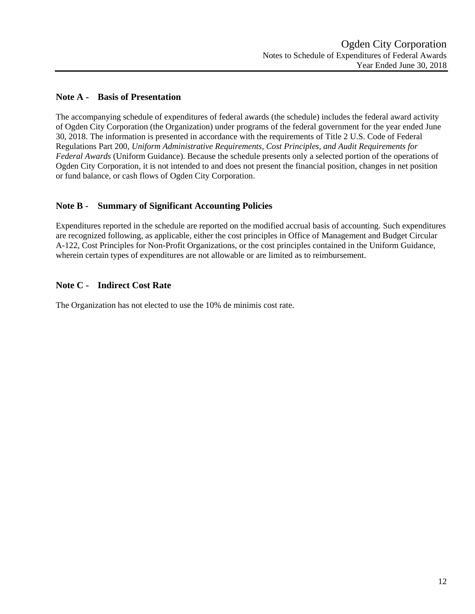# <span id="page-13-0"></span>**Note A - Basis of Presentation**

The accompanying schedule of expenditures of federal awards (the schedule) includes the federal award activity of Ogden City Corporation (the Organization) under programs of the federal government for the year ended June 30, 2018. The information is presented in accordance with the requirements of Title 2 U.S. Code of Federal Regulations Part 200, *Uniform Administrative Requirements, Cost Principles, and Audit Requirements for Federal Awards* (Uniform Guidance). Because the schedule presents only a selected portion of the operations of Ogden City Corporation, it is not intended to and does not present the financial position, changes in net position or fund balance, or cash flows of Ogden City Corporation.

# **Note B - Summary of Significant Accounting Policies**

Expenditures reported in the schedule are reported on the modified accrual basis of accounting. Such expenditures are recognized following, as applicable, either the cost principles in Office of Management and Budget Circular A-122, Cost Principles for Non-Profit Organizations, or the cost principles contained in the Uniform Guidance, wherein certain types of expenditures are not allowable or are limited as to reimbursement.

# **Note C - Indirect Cost Rate**

The Organization has not elected to use the 10% de minimis cost rate.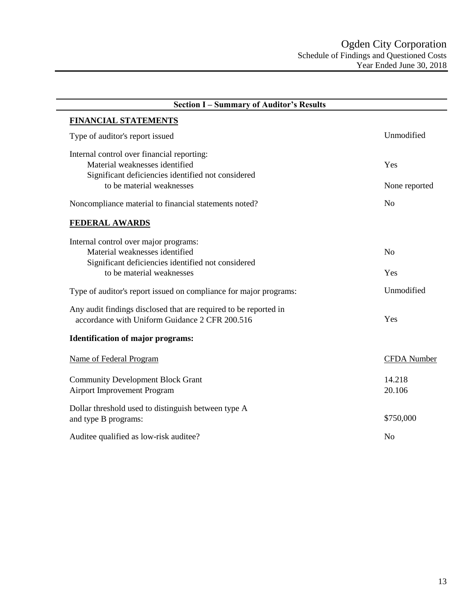<span id="page-14-0"></span>

| <b>Section I-Summary of Auditor's Results</b>                     |                    |  |  |  |
|-------------------------------------------------------------------|--------------------|--|--|--|
| <b>FINANCIAL STATEMENTS</b>                                       |                    |  |  |  |
| Type of auditor's report issued                                   | Unmodified         |  |  |  |
| Internal control over financial reporting:                        |                    |  |  |  |
| Material weaknesses identified                                    | Yes                |  |  |  |
| Significant deficiencies identified not considered                |                    |  |  |  |
| to be material weaknesses                                         | None reported      |  |  |  |
| Noncompliance material to financial statements noted?             | N <sub>o</sub>     |  |  |  |
| <b>FEDERAL AWARDS</b>                                             |                    |  |  |  |
| Internal control over major programs:                             |                    |  |  |  |
| Material weaknesses identified                                    | N <sub>o</sub>     |  |  |  |
| Significant deficiencies identified not considered                |                    |  |  |  |
| to be material weaknesses                                         | Yes                |  |  |  |
| Type of auditor's report issued on compliance for major programs: | Unmodified         |  |  |  |
| Any audit findings disclosed that are required to be reported in  |                    |  |  |  |
| accordance with Uniform Guidance 2 CFR 200.516                    | Yes                |  |  |  |
| <b>Identification of major programs:</b>                          |                    |  |  |  |
| Name of Federal Program                                           | <b>CFDA</b> Number |  |  |  |
| <b>Community Development Block Grant</b>                          | 14.218             |  |  |  |
| Airport Improvement Program                                       | 20.106             |  |  |  |
| Dollar threshold used to distinguish between type A               |                    |  |  |  |
| and type B programs:                                              | \$750,000          |  |  |  |
| Auditee qualified as low-risk auditee?                            | N <sub>o</sub>     |  |  |  |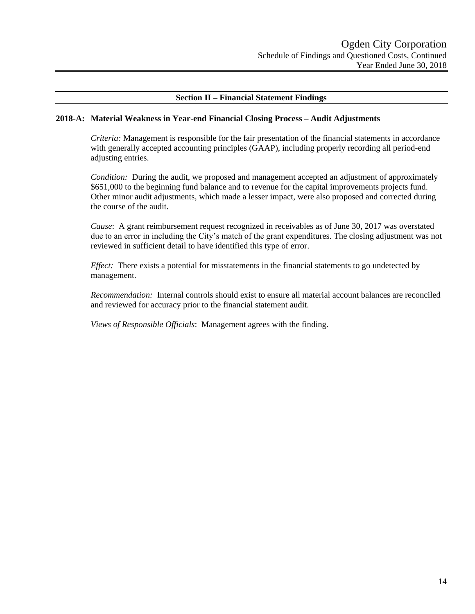# **Section II – Financial Statement Findings**

### **2018-A: Material Weakness in Year-end Financial Closing Process – Audit Adjustments**

*Criteria:* Management is responsible for the fair presentation of the financial statements in accordance with generally accepted accounting principles (GAAP), including properly recording all period-end adjusting entries.

*Condition:* During the audit, we proposed and management accepted an adjustment of approximately \$651,000 to the beginning fund balance and to revenue for the capital improvements projects fund. Other minor audit adjustments, which made a lesser impact, were also proposed and corrected during the course of the audit.

*Cause*: A grant reimbursement request recognized in receivables as of June 30, 2017 was overstated due to an error in including the City's match of the grant expenditures. The closing adjustment was not reviewed in sufficient detail to have identified this type of error.

*Effect:* There exists a potential for misstatements in the financial statements to go undetected by management.

*Recommendation:* Internal controls should exist to ensure all material account balances are reconciled and reviewed for accuracy prior to the financial statement audit.

*Views of Responsible Officials*: Management agrees with the finding.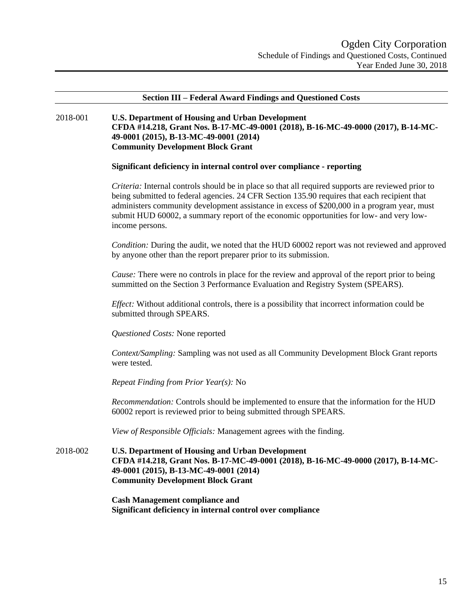#### **Section III – Federal Award Findings and Questioned Costs**

### 2018-001 **U.S. Department of Housing and Urban Development CFDA #14.218, Grant Nos. B-17-MC-49-0001 (2018), B-16-MC-49-0000 (2017), B-14-MC-49-0001 (2015), B-13-MC-49-0001 (2014) Community Development Block Grant**

#### **Significant deficiency in internal control over compliance - reporting**

*Criteria:* Internal controls should be in place so that all required supports are reviewed prior to being submitted to federal agencies. 24 CFR Section 135.90 requires that each recipient that administers community development assistance in excess of \$200,000 in a program year, must submit HUD 60002, a summary report of the economic opportunities for low- and very lowincome persons.

*Condition:* During the audit, we noted that the HUD 60002 report was not reviewed and approved by anyone other than the report preparer prior to its submission.

*Cause:* There were no controls in place for the review and approval of the report prior to being summitted on the Section 3 Performance Evaluation and Registry System (SPEARS).

*Effect:* Without additional controls, there is a possibility that incorrect information could be submitted through SPEARS.

*Questioned Costs:* None reported

*Context/Sampling:* Sampling was not used as all Community Development Block Grant reports were tested.

*Repeat Finding from Prior Year(s):* No

*Recommendation:* Controls should be implemented to ensure that the information for the HUD 60002 report is reviewed prior to being submitted through SPEARS.

*View of Responsible Officials:* Management agrees with the finding.

2018-002 **U.S. Department of Housing and Urban Development CFDA #14.218, Grant Nos. B-17-MC-49-0001 (2018), B-16-MC-49-0000 (2017), B-14-MC-49-0001 (2015), B-13-MC-49-0001 (2014) Community Development Block Grant**

> **Cash Management compliance and Significant deficiency in internal control over compliance**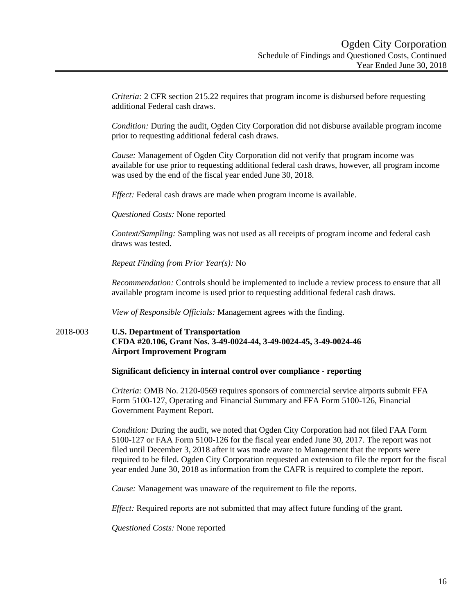*Criteria:* 2 CFR section 215.22 requires that program income is disbursed before requesting additional Federal cash draws.

*Condition:* During the audit, Ogden City Corporation did not disburse available program income prior to requesting additional federal cash draws.

*Cause:* Management of Ogden City Corporation did not verify that program income was available for use prior to requesting additional federal cash draws, however, all program income was used by the end of the fiscal year ended June 30, 2018.

*Effect:* Federal cash draws are made when program income is available.

*Questioned Costs:* None reported

*Context/Sampling:* Sampling was not used as all receipts of program income and federal cash draws was tested.

*Repeat Finding from Prior Year(s):* No

*Recommendation:* Controls should be implemented to include a review process to ensure that all available program income is used prior to requesting additional federal cash draws.

*View of Responsible Officials:* Management agrees with the finding.

## 2018-003 **U.S. Department of Transportation CFDA #20.106, Grant Nos. 3-49-0024-44, 3-49-0024-45, 3-49-0024-46 Airport Improvement Program**

### **Significant deficiency in internal control over compliance - reporting**

*Criteria:* OMB No. 2120-0569 requires sponsors of commercial service airports submit FFA Form 5100-127, Operating and Financial Summary and FFA Form 5100-126, Financial Government Payment Report.

*Condition:* During the audit, we noted that Ogden City Corporation had not filed FAA Form 5100-127 or FAA Form 5100-126 for the fiscal year ended June 30, 2017. The report was not filed until December 3, 2018 after it was made aware to Management that the reports were required to be filed. Ogden City Corporation requested an extension to file the report for the fiscal year ended June 30, 2018 as information from the CAFR is required to complete the report.

*Cause:* Management was unaware of the requirement to file the reports.

*Effect:* Required reports are not submitted that may affect future funding of the grant.

*Questioned Costs:* None reported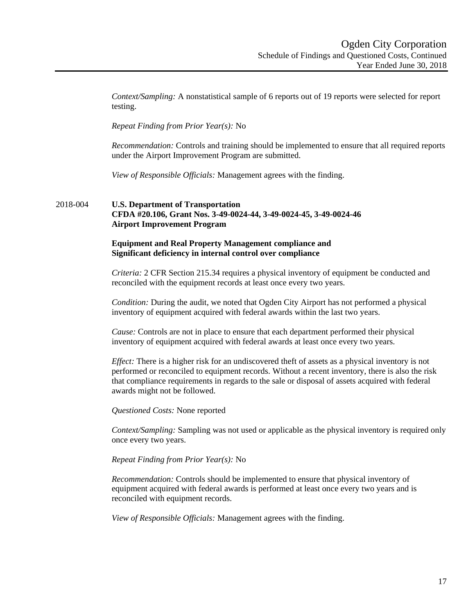*Context/Sampling:* A nonstatistical sample of 6 reports out of 19 reports were selected for report testing.

*Repeat Finding from Prior Year(s):* No

*Recommendation:* Controls and training should be implemented to ensure that all required reports under the Airport Improvement Program are submitted.

*View of Responsible Officials:* Management agrees with the finding.

# 2018-004 **U.S. Department of Transportation CFDA #20.106, Grant Nos. 3-49-0024-44, 3-49-0024-45, 3-49-0024-46 Airport Improvement Program**

## **Equipment and Real Property Management compliance and Significant deficiency in internal control over compliance**

*Criteria:* 2 CFR Section 215.34 requires a physical inventory of equipment be conducted and reconciled with the equipment records at least once every two years.

*Condition:* During the audit, we noted that Ogden City Airport has not performed a physical inventory of equipment acquired with federal awards within the last two years.

*Cause:* Controls are not in place to ensure that each department performed their physical inventory of equipment acquired with federal awards at least once every two years.

*Effect:* There is a higher risk for an undiscovered theft of assets as a physical inventory is not performed or reconciled to equipment records. Without a recent inventory, there is also the risk that compliance requirements in regards to the sale or disposal of assets acquired with federal awards might not be followed.

### *Questioned Costs:* None reported

*Context/Sampling:* Sampling was not used or applicable as the physical inventory is required only once every two years.

### *Repeat Finding from Prior Year(s):* No

*Recommendation:* Controls should be implemented to ensure that physical inventory of equipment acquired with federal awards is performed at least once every two years and is reconciled with equipment records.

*View of Responsible Officials:* Management agrees with the finding.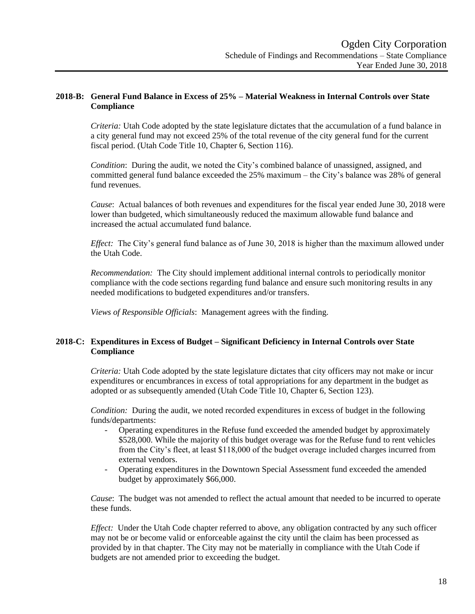## <span id="page-19-0"></span>**2018-B: General Fund Balance in Excess of 25% – Material Weakness in Internal Controls over State Compliance**

*Criteria:* Utah Code adopted by the state legislature dictates that the accumulation of a fund balance in a city general fund may not exceed 25% of the total revenue of the city general fund for the current fiscal period. (Utah Code Title 10, Chapter 6, Section 116).

*Condition*: During the audit, we noted the City's combined balance of unassigned, assigned, and committed general fund balance exceeded the 25% maximum – the City's balance was 28% of general fund revenues.

*Cause*: Actual balances of both revenues and expenditures for the fiscal year ended June 30, 2018 were lower than budgeted, which simultaneously reduced the maximum allowable fund balance and increased the actual accumulated fund balance.

*Effect:* The City's general fund balance as of June 30, 2018 is higher than the maximum allowed under the Utah Code.

*Recommendation:* The City should implement additional internal controls to periodically monitor compliance with the code sections regarding fund balance and ensure such monitoring results in any needed modifications to budgeted expenditures and/or transfers.

*Views of Responsible Officials*: Management agrees with the finding.

# **2018-C: Expenditures in Excess of Budget – Significant Deficiency in Internal Controls over State Compliance**

*Criteria:* Utah Code adopted by the state legislature dictates that city officers may not make or incur expenditures or encumbrances in excess of total appropriations for any department in the budget as adopted or as subsequently amended (Utah Code Title 10, Chapter 6, Section 123).

*Condition:* During the audit, we noted recorded expenditures in excess of budget in the following funds/departments:

- *-* Operating expenditures in the Refuse fund exceeded the amended budget by approximately \$528,000. While the majority of this budget overage was for the Refuse fund to rent vehicles from the City's fleet, at least \$118,000 of the budget overage included charges incurred from external vendors.
- *-* Operating expenditures in the Downtown Special Assessment fund exceeded the amended budget by approximately \$66,000.

*Cause*: The budget was not amended to reflect the actual amount that needed to be incurred to operate these funds.

*Effect:* Under the Utah Code chapter referred to above, any obligation contracted by any such officer may not be or become valid or enforceable against the city until the claim has been processed as provided by in that chapter. The City may not be materially in compliance with the Utah Code if budgets are not amended prior to exceeding the budget.